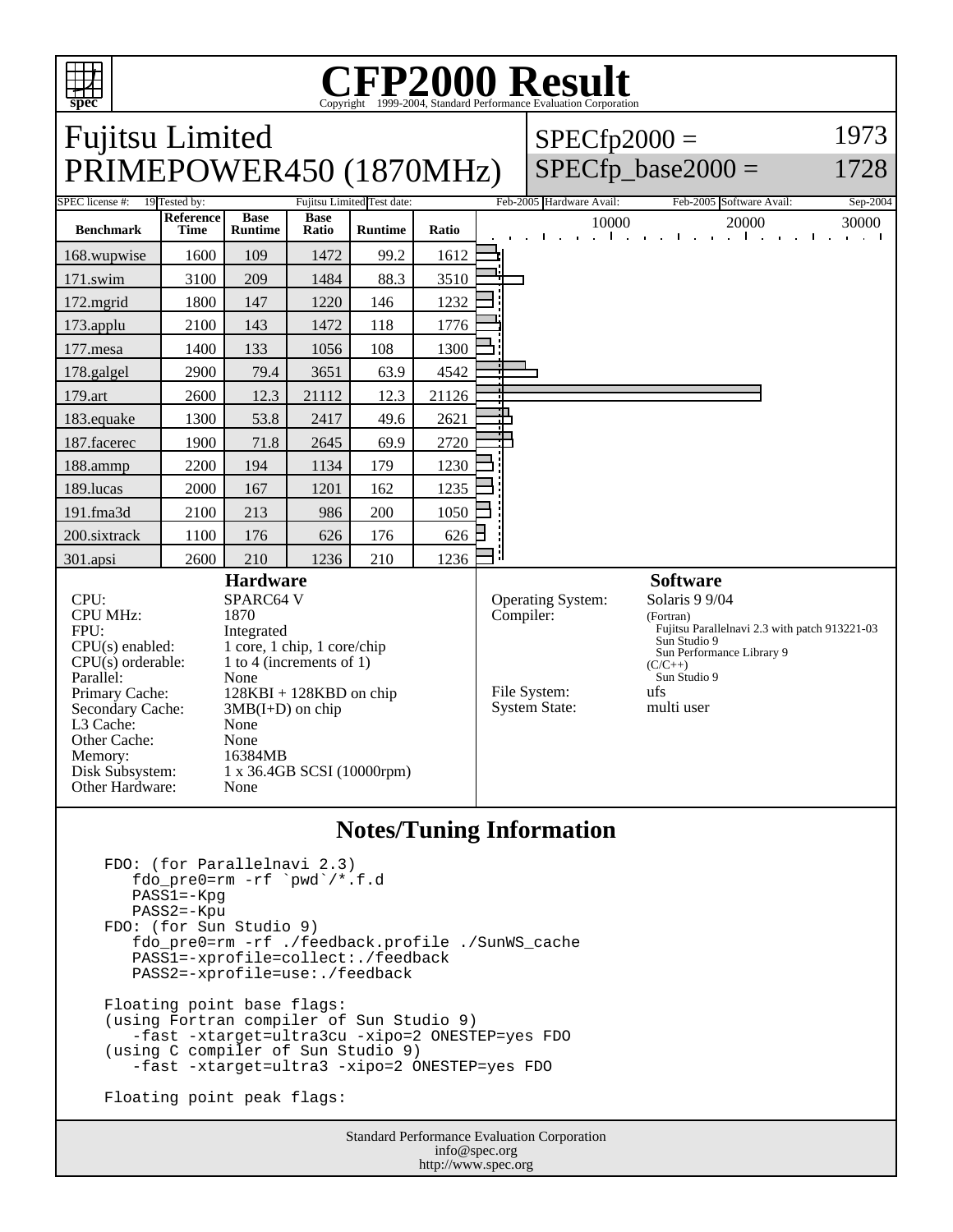

## **CFP2000 Result** Copyright ©1999-2004, Standard

Fujitsu Limited PRIMEPOWER450 (1870MHz)  $SPECfp2000 =$ SPECfp base2000  $=$ 1973 1728 SPEC license #: 19 Tested by: Fujitsu Limited Test date: Feb-2005 Hardware Avail: Feb-2005 Software Avail: Sep-2004 **Benchmark Reference Time Base Runtime Base Ratio Runtime Ratio** 10000 20000 30000 168.wupwise 1600 109 1472 99.2 1612 171.swim | 3100 | 209 | 1484 | 88.3 | 3510 172.mgrid 1800 147 1220 146 1232 173.applu | 2100 | 143 | 1472 | 118 | 1776 177.mesa | 1400 | 133 | 1056 | 108 | 1300 178.galgel | 2900 | 79.4 | 3651 | 63.9 | 4542 179.art 2600 12.3 21112 12.3 21126 183.equake 1300 53.8 2417 49.6 2621 187.facerec | 1900 | 71.8 | 2645 | 69.9 | 2720 188.ammp | 2200 | 194 | 1134 | 179 | 1230 189.lucas | 2000 | 167 | 1201 | 162 | 1235 191.fma3d 2100 213 986 200 1050 200.sixtrack 1100 176 626 176 626 301.apsi 2600 210 1236 210 1236 **Hardware** CPU: SPARC64 V<br>CPU MHz: 1870 CPU MHz: FPU: Integrated  $CPU(s)$  enabled:  $1$  core, 1 chip, 1 core/chip<br>CPU(s) orderable:  $1$  to 4 (increments of 1) 1 to 4 (increments of 1) Parallel: None<br>Primary Cache: 128K  $128KBI + 128KBD$  on chip Secondary Cache:  $3MB(I+D)$  on chip L3 Cache: None Other Cache: None Memory: 16384MB Disk Subsystem: 1 x 36.4GB SCSI (10000rpm) Other Hardware: None **Software** Operating System: Solaris 9 9/04 Compiler: (Fortran) Fujitsu Parallelnavi 2.3 with patch 913221-03 Sun Studio 9 Sun Performance Library 9  $(C/C_{++})$ Sun Studio 9<br> $\frac{1}{115}$ File System: ufs<br>System State: multi user System State:

## **Notes/Tuning Information**

```
 FDO: (for Parallelnavi 2.3)
   fdo_pre0=rm -rf `pwd`/*.f.d
   PASS1=-Kpg
  PASS2=-Kpu
FDO: (for Sun Studio 9)
   fdo_pre0=rm -rf ./feedback.profile ./SunWS_cache
   PASS1=-xprofile=collect:./feedback
   PASS2=-xprofile=use:./feedback
Floating point base flags:
(using Fortran compiler of Sun Studio 9)
   -fast -xtarget=ultra3cu -xipo=2 ONESTEP=yes FDO
(using C compiler of Sun Studio 9)
   -fast -xtarget=ultra3 -xipo=2 ONESTEP=yes FDO
Floating point peak flags:
```
Standard Performance Evaluation Corporation info@spec.org http://www.spec.org